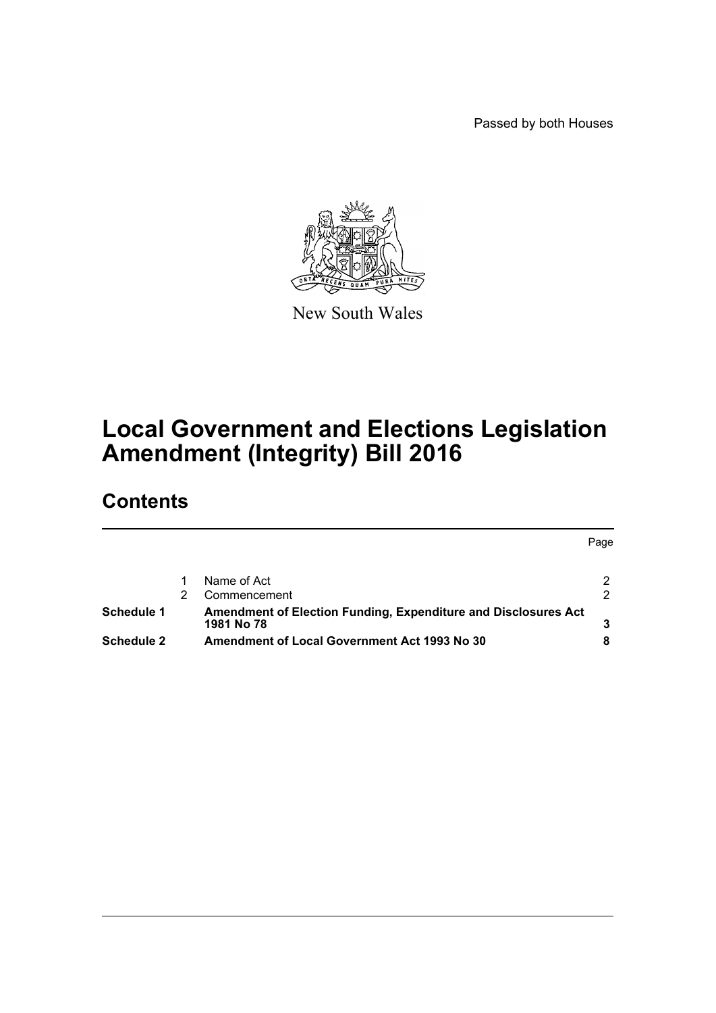Passed by both Houses



New South Wales

# **Local Government and Elections Legislation Amendment (Integrity) Bill 2016**

# **Contents**

|                   |                                                                              | Page |
|-------------------|------------------------------------------------------------------------------|------|
|                   | Name of Act                                                                  |      |
|                   | Commencement                                                                 |      |
| Schedule 1        | Amendment of Election Funding, Expenditure and Disclosures Act<br>1981 No 78 |      |
| <b>Schedule 2</b> | Amendment of Local Government Act 1993 No 30                                 |      |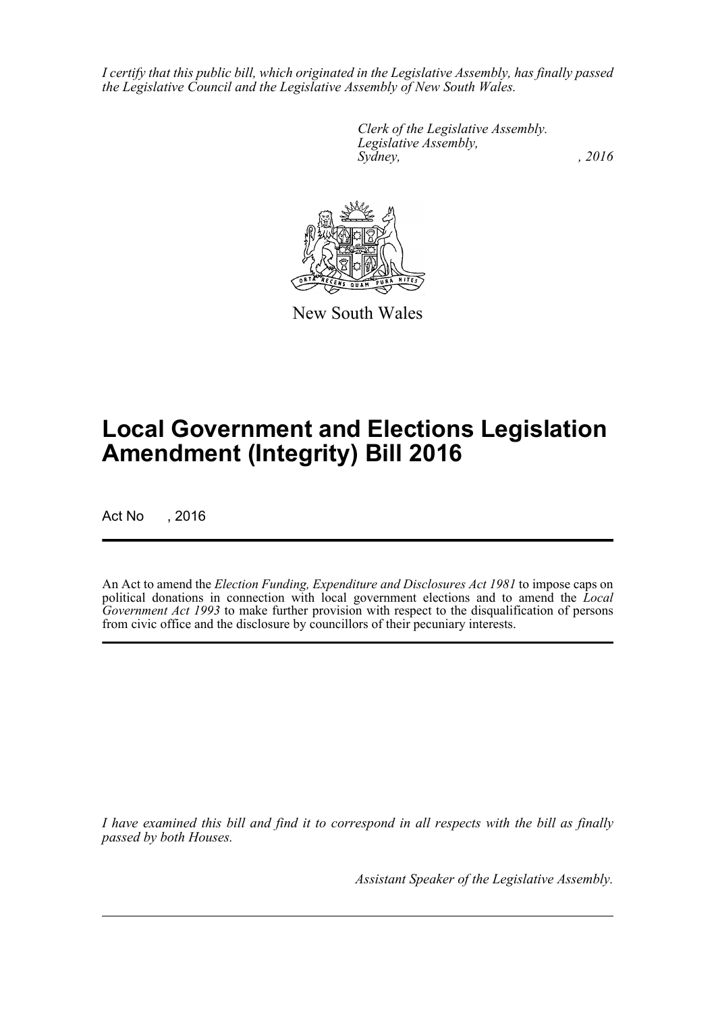*I certify that this public bill, which originated in the Legislative Assembly, has finally passed the Legislative Council and the Legislative Assembly of New South Wales.*

> *Clerk of the Legislative Assembly. Legislative Assembly, Sydney,* , 2016



New South Wales

# **Local Government and Elections Legislation Amendment (Integrity) Bill 2016**

Act No , 2016

An Act to amend the *Election Funding, Expenditure and Disclosures Act 1981* to impose caps on political donations in connection with local government elections and to amend the *Local Government Act 1993* to make further provision with respect to the disqualification of persons from civic office and the disclosure by councillors of their pecuniary interests.

*I have examined this bill and find it to correspond in all respects with the bill as finally passed by both Houses.*

*Assistant Speaker of the Legislative Assembly.*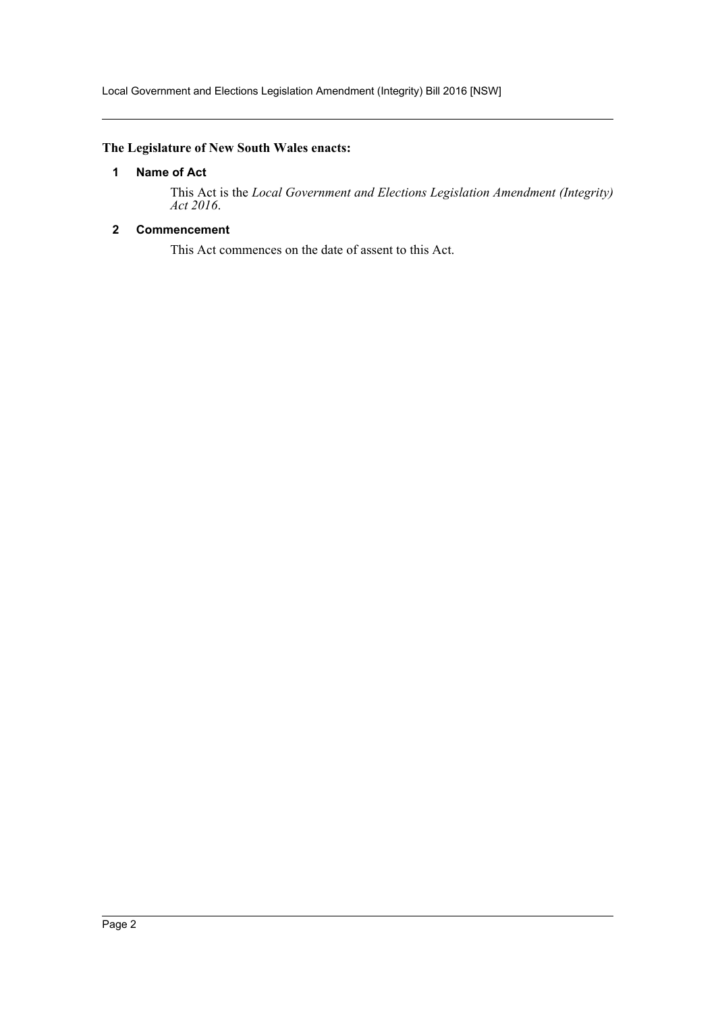Local Government and Elections Legislation Amendment (Integrity) Bill 2016 [NSW]

# <span id="page-2-0"></span>**The Legislature of New South Wales enacts:**

# **1 Name of Act**

This Act is the *Local Government and Elections Legislation Amendment (Integrity) Act 2016*.

# <span id="page-2-1"></span>**2 Commencement**

This Act commences on the date of assent to this Act.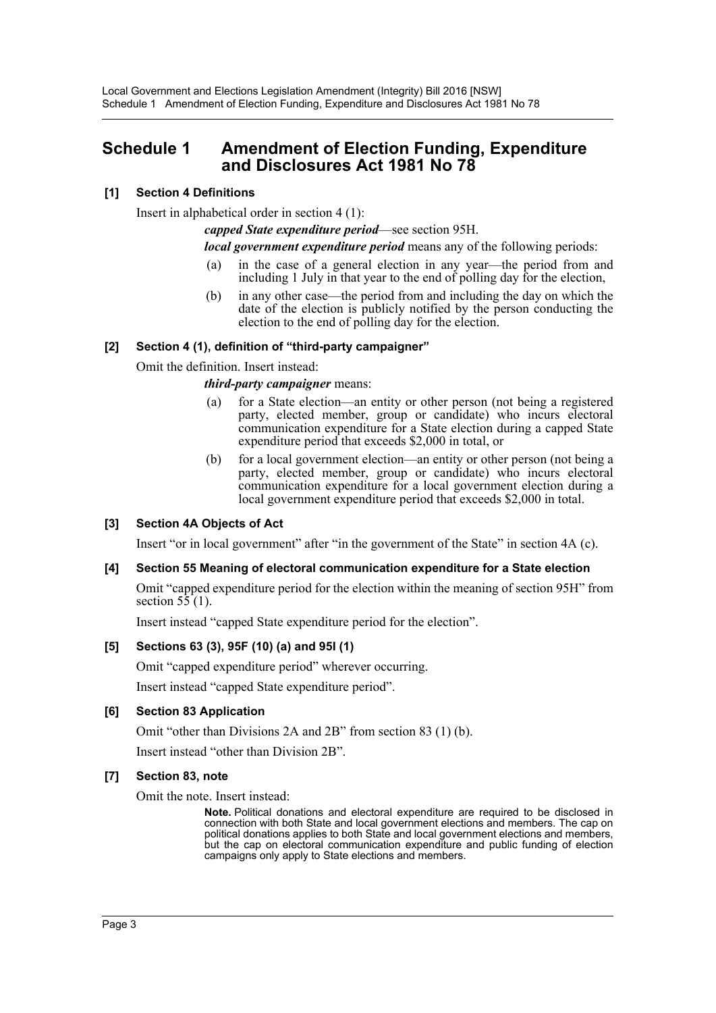# <span id="page-3-0"></span>**Schedule 1 Amendment of Election Funding, Expenditure and Disclosures Act 1981 No 78**

# **[1] Section 4 Definitions**

Insert in alphabetical order in section 4 (1):

*capped State expenditure period*—see section 95H.

*local government expenditure period* means any of the following periods:

- (a) in the case of a general election in any year—the period from and including 1 July in that year to the end of polling day for the election,
- (b) in any other case—the period from and including the day on which the date of the election is publicly notified by the person conducting the election to the end of polling day for the election.

### **[2] Section 4 (1), definition of "third-party campaigner"**

Omit the definition. Insert instead:

#### *third-party campaigner* means:

- (a) for a State election—an entity or other person (not being a registered party, elected member, group or candidate) who incurs electoral communication expenditure for a State election during a capped State expenditure period that exceeds \$2,000 in total, or
- (b) for a local government election—an entity or other person (not being a party, elected member, group or candidate) who incurs electoral communication expenditure for a local government election during a local government expenditure period that exceeds \$2,000 in total.

# **[3] Section 4A Objects of Act**

Insert "or in local government" after "in the government of the State" in section 4A (c).

#### **[4] Section 55 Meaning of electoral communication expenditure for a State election**

Omit "capped expenditure period for the election within the meaning of section 95H" from section  $5\overline{5}(1)$ .

Insert instead "capped State expenditure period for the election".

#### **[5] Sections 63 (3), 95F (10) (a) and 95I (1)**

Omit "capped expenditure period" wherever occurring.

Insert instead "capped State expenditure period".

#### **[6] Section 83 Application**

Omit "other than Divisions 2A and 2B" from section 83 (1) (b).

Insert instead "other than Division 2B".

#### **[7] Section 83, note**

Omit the note. Insert instead:

**Note.** Political donations and electoral expenditure are required to be disclosed in connection with both State and local government elections and members. The cap on political donations applies to both State and local government elections and members, but the cap on electoral communication expenditure and public funding of election campaigns only apply to State elections and members.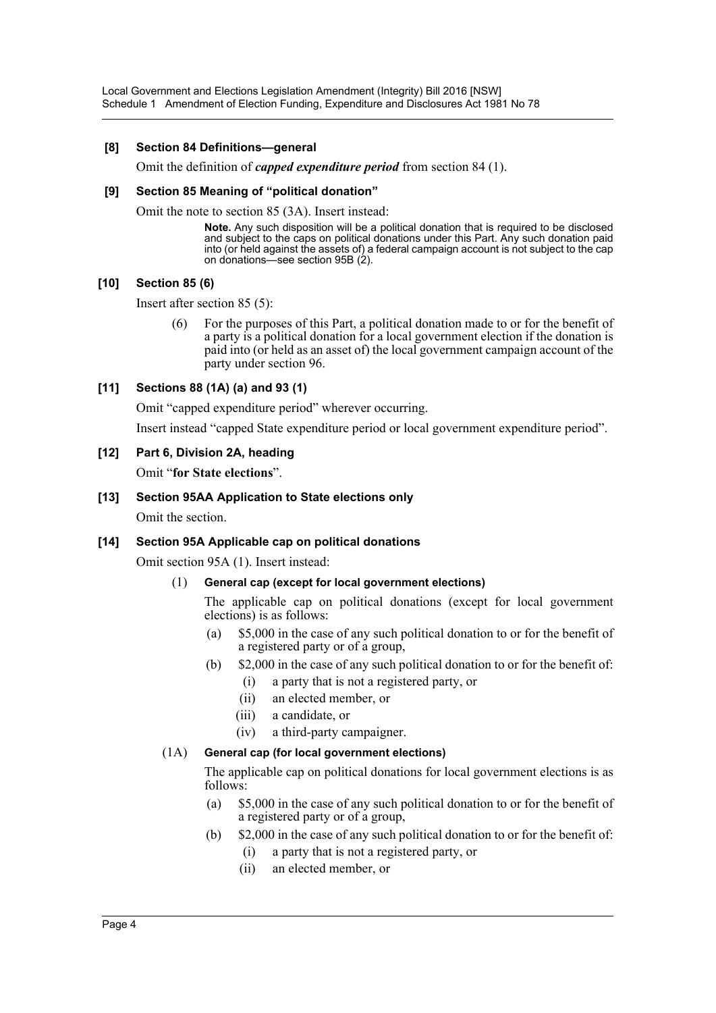Local Government and Elections Legislation Amendment (Integrity) Bill 2016 [NSW] Schedule 1 Amendment of Election Funding, Expenditure and Disclosures Act 1981 No 78

#### **[8] Section 84 Definitions—general**

Omit the definition of *capped expenditure period* from section 84 (1).

#### **[9] Section 85 Meaning of "political donation"**

Omit the note to section 85 (3A). Insert instead:

**Note.** Any such disposition will be a political donation that is required to be disclosed and subject to the caps on political donations under this Part. Any such donation paid into (or held against the assets of) a federal campaign account is not subject to the cap on donations—see section 95B (2).

#### **[10] Section 85 (6)**

Insert after section 85 (5):

(6) For the purposes of this Part, a political donation made to or for the benefit of a party is a political donation for a local government election if the donation is paid into (or held as an asset of) the local government campaign account of the party under section 96.

#### **[11] Sections 88 (1A) (a) and 93 (1)**

Omit "capped expenditure period" wherever occurring.

Insert instead "capped State expenditure period or local government expenditure period".

#### **[12] Part 6, Division 2A, heading**

Omit "**for State elections**".

#### **[13] Section 95AA Application to State elections only**

Omit the section.

#### **[14] Section 95A Applicable cap on political donations**

Omit section 95A (1). Insert instead:

#### (1) **General cap (except for local government elections)**

The applicable cap on political donations (except for local government elections) is as follows:

- (a) \$5,000 in the case of any such political donation to or for the benefit of a registered party or of a group,
- (b) \$2,000 in the case of any such political donation to or for the benefit of:
	- (i) a party that is not a registered party, or
	- (ii) an elected member, or
	- (iii) a candidate, or
	- (iv) a third-party campaigner.

#### (1A) **General cap (for local government elections)**

The applicable cap on political donations for local government elections is as follows:

- (a) \$5,000 in the case of any such political donation to or for the benefit of a registered party or of a group,
- (b) \$2,000 in the case of any such political donation to or for the benefit of:
	- (i) a party that is not a registered party, or
	- (ii) an elected member, or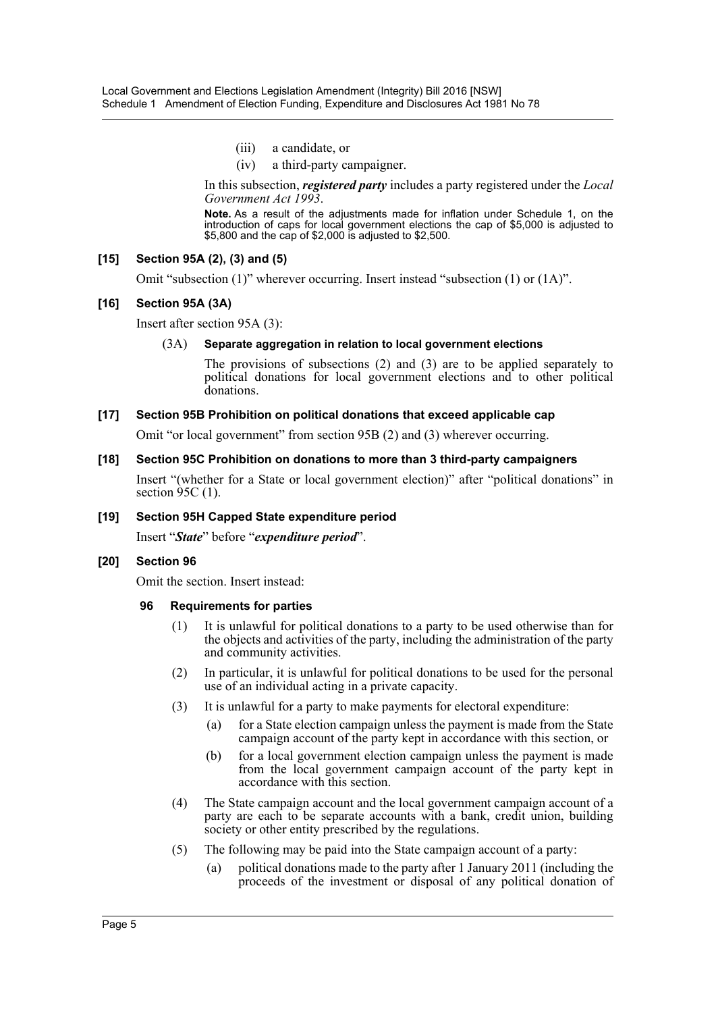- (iii) a candidate, or
- (iv) a third-party campaigner.

In this subsection, *registered party* includes a party registered under the *Local Government Act 1993*.

**Note.** As a result of the adjustments made for inflation under Schedule 1, on the introduction of caps for local government elections the cap of \$5,000 is adjusted to \$5,800 and the cap of \$2,000 is adjusted to \$2,500.

# **[15] Section 95A (2), (3) and (5)**

Omit "subsection (1)" wherever occurring. Insert instead "subsection (1) or (1A)".

# **[16] Section 95A (3A)**

Insert after section 95A (3):

### (3A) **Separate aggregation in relation to local government elections**

The provisions of subsections (2) and (3) are to be applied separately to political donations for local government elections and to other political donations.

### **[17] Section 95B Prohibition on political donations that exceed applicable cap**

Omit "or local government" from section 95B (2) and (3) wherever occurring.

### **[18] Section 95C Prohibition on donations to more than 3 third-party campaigners**

Insert "(whether for a State or local government election)" after "political donations" in section  $\frac{95C}{1}$ .

#### **[19] Section 95H Capped State expenditure period**

Insert "*State*" before "*expenditure period*".

#### **[20] Section 96**

Omit the section. Insert instead:

#### **96 Requirements for parties**

- (1) It is unlawful for political donations to a party to be used otherwise than for the objects and activities of the party, including the administration of the party and community activities.
- (2) In particular, it is unlawful for political donations to be used for the personal use of an individual acting in a private capacity.
- (3) It is unlawful for a party to make payments for electoral expenditure:
	- (a) for a State election campaign unless the payment is made from the State campaign account of the party kept in accordance with this section, or
	- (b) for a local government election campaign unless the payment is made from the local government campaign account of the party kept in accordance with this section.
- (4) The State campaign account and the local government campaign account of a party are each to be separate accounts with a bank, credit union, building society or other entity prescribed by the regulations.
- (5) The following may be paid into the State campaign account of a party:
	- (a) political donations made to the party after 1 January 2011 (including the proceeds of the investment or disposal of any political donation of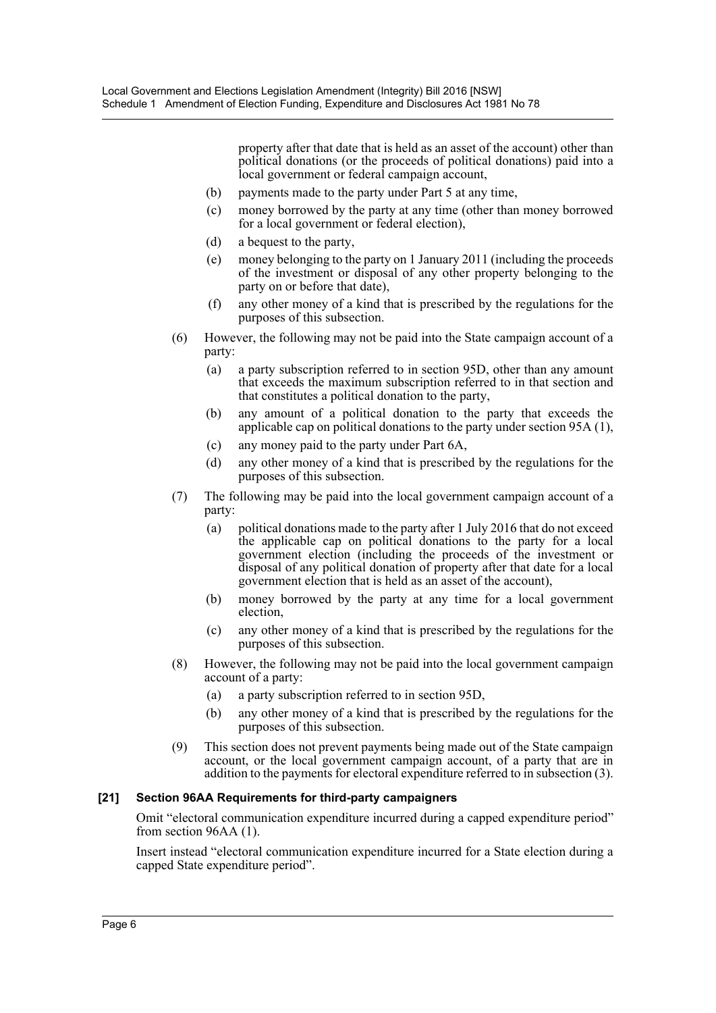property after that date that is held as an asset of the account) other than political donations (or the proceeds of political donations) paid into a local government or federal campaign account,

- (b) payments made to the party under Part 5 at any time,
- (c) money borrowed by the party at any time (other than money borrowed for a local government or federal election),
- (d) a bequest to the party,
- (e) money belonging to the party on 1 January 2011 (including the proceeds of the investment or disposal of any other property belonging to the party on or before that date),
- (f) any other money of a kind that is prescribed by the regulations for the purposes of this subsection.
- (6) However, the following may not be paid into the State campaign account of a party:
	- (a) a party subscription referred to in section 95D, other than any amount that exceeds the maximum subscription referred to in that section and that constitutes a political donation to the party,
	- (b) any amount of a political donation to the party that exceeds the applicable cap on political donations to the party under section 95A (1),
	- (c) any money paid to the party under Part 6A,
	- (d) any other money of a kind that is prescribed by the regulations for the purposes of this subsection.
- (7) The following may be paid into the local government campaign account of a party:
	- (a) political donations made to the party after 1 July 2016 that do not exceed the applicable cap on political donations to the party for a local government election (including the proceeds of the investment or disposal of any political donation of property after that date for a local government election that is held as an asset of the account),
	- (b) money borrowed by the party at any time for a local government election,
	- (c) any other money of a kind that is prescribed by the regulations for the purposes of this subsection.
- (8) However, the following may not be paid into the local government campaign account of a party:
	- (a) a party subscription referred to in section 95D,
	- (b) any other money of a kind that is prescribed by the regulations for the purposes of this subsection.
- (9) This section does not prevent payments being made out of the State campaign account, or the local government campaign account, of a party that are in addition to the payments for electoral expenditure referred to in subsection (3).

# **[21] Section 96AA Requirements for third-party campaigners**

Omit "electoral communication expenditure incurred during a capped expenditure period" from section 96AA (1).

Insert instead "electoral communication expenditure incurred for a State election during a capped State expenditure period".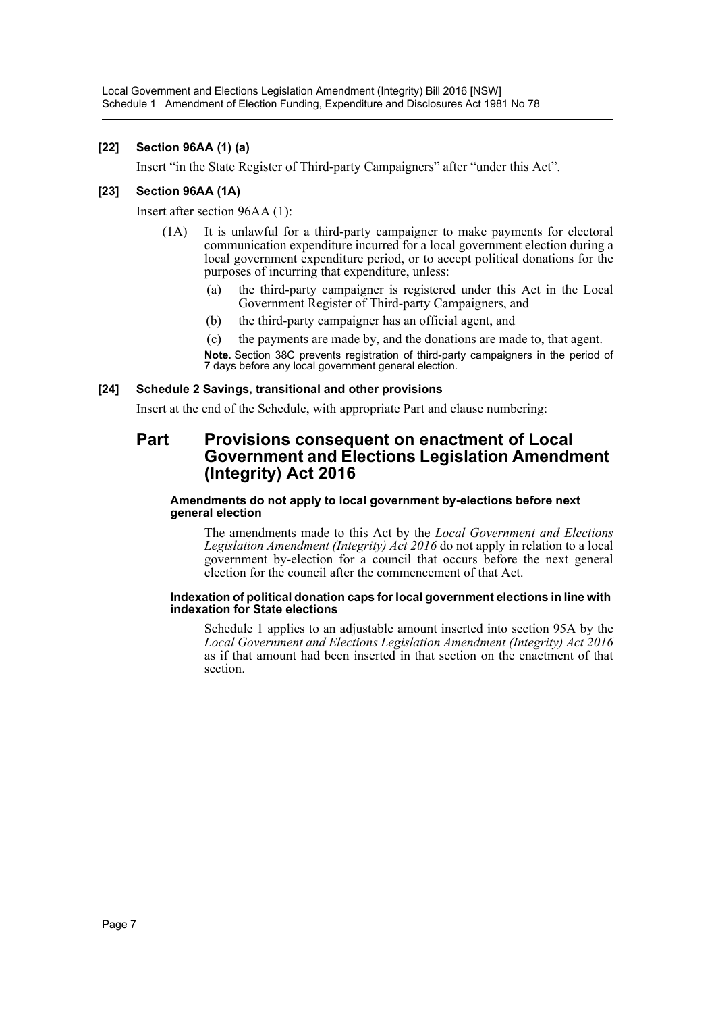# **[22] Section 96AA (1) (a)**

Insert "in the State Register of Third-party Campaigners" after "under this Act".

# **[23] Section 96AA (1A)**

Insert after section 96AA (1):

- (1A) It is unlawful for a third-party campaigner to make payments for electoral communication expenditure incurred for a local government election during a local government expenditure period, or to accept political donations for the purposes of incurring that expenditure, unless:
	- (a) the third-party campaigner is registered under this Act in the Local Government Register of Third-party Campaigners, and
	- (b) the third-party campaigner has an official agent, and
	- (c) the payments are made by, and the donations are made to, that agent.

**Note.** Section 38C prevents registration of third-party campaigners in the period of 7 days before any local government general election.

### **[24] Schedule 2 Savings, transitional and other provisions**

Insert at the end of the Schedule, with appropriate Part and clause numbering:

# **Part Provisions consequent on enactment of Local Government and Elections Legislation Amendment (Integrity) Act 2016**

#### **Amendments do not apply to local government by-elections before next general election**

The amendments made to this Act by the *Local Government and Elections Legislation Amendment (Integrity) Act 2016* do not apply in relation to a local government by-election for a council that occurs before the next general election for the council after the commencement of that Act.

#### **Indexation of political donation caps for local government elections in line with indexation for State elections**

Schedule 1 applies to an adjustable amount inserted into section 95A by the *Local Government and Elections Legislation Amendment (Integrity) Act 2016* as if that amount had been inserted in that section on the enactment of that section.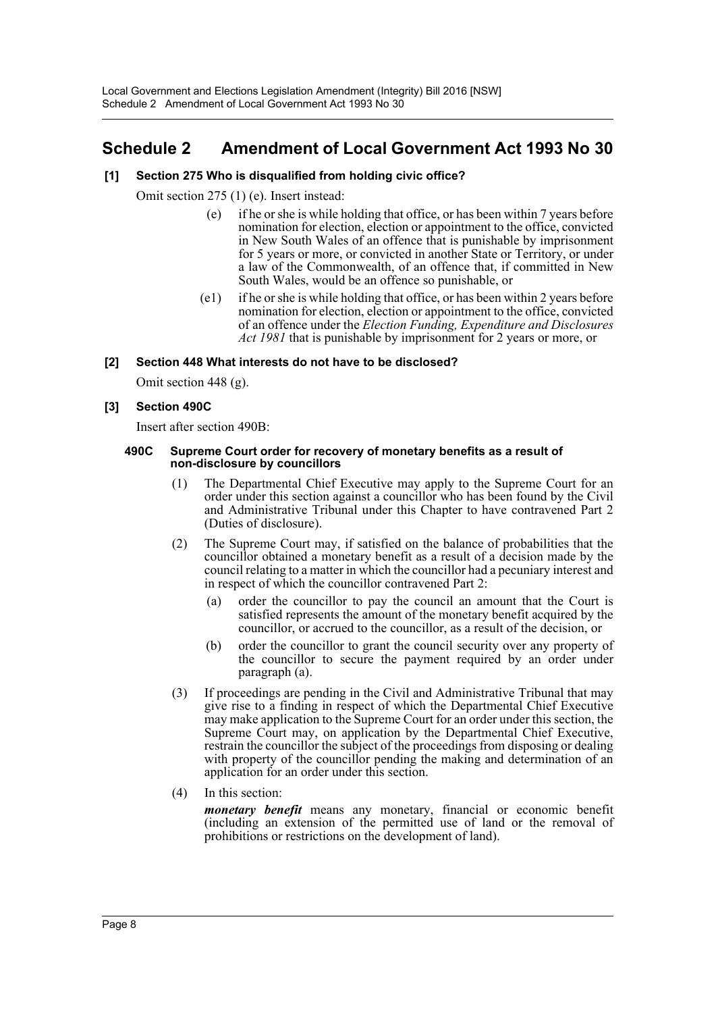# <span id="page-8-0"></span>**Schedule 2 Amendment of Local Government Act 1993 No 30**

# **[1] Section 275 Who is disqualified from holding civic office?**

Omit section 275 (1) (e). Insert instead:

- (e) if he or she is while holding that office, or has been within 7 years before nomination for election, election or appointment to the office, convicted in New South Wales of an offence that is punishable by imprisonment for 5 years or more, or convicted in another State or Territory, or under a law of the Commonwealth, of an offence that, if committed in New South Wales, would be an offence so punishable, or
- (e1) if he or she is while holding that office, or has been within 2 years before nomination for election, election or appointment to the office, convicted of an offence under the *Election Funding, Expenditure and Disclosures Act 1981* that is punishable by imprisonment for 2 years or more, or

#### **[2] Section 448 What interests do not have to be disclosed?**

Omit section 448 (g).

#### **[3] Section 490C**

Insert after section 490B:

#### **490C Supreme Court order for recovery of monetary benefits as a result of non-disclosure by councillors**

- (1) The Departmental Chief Executive may apply to the Supreme Court for an order under this section against a councillor who has been found by the Civil and Administrative Tribunal under this Chapter to have contravened Part 2 (Duties of disclosure).
- (2) The Supreme Court may, if satisfied on the balance of probabilities that the councillor obtained a monetary benefit as a result of a decision made by the council relating to a matter in which the councillor had a pecuniary interest and in respect of which the councillor contravened Part 2:
	- (a) order the councillor to pay the council an amount that the Court is satisfied represents the amount of the monetary benefit acquired by the councillor, or accrued to the councillor, as a result of the decision, or
	- (b) order the councillor to grant the council security over any property of the councillor to secure the payment required by an order under paragraph (a).
- (3) If proceedings are pending in the Civil and Administrative Tribunal that may give rise to a finding in respect of which the Departmental Chief Executive may make application to the Supreme Court for an order under this section, the Supreme Court may, on application by the Departmental Chief Executive, restrain the councillor the subject of the proceedings from disposing or dealing with property of the councillor pending the making and determination of an application for an order under this section.
- (4) In this section:

*monetary benefit* means any monetary, financial or economic benefit (including an extension of the permitted use of land or the removal of prohibitions or restrictions on the development of land).